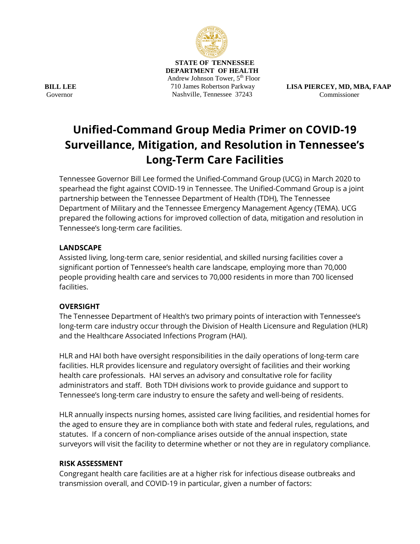

 **STATE OF TENNESSEE DEPARTMENT OF HEALTH** Andrew Johnson Tower, 5<sup>th</sup> Floor 710 James Robertson Parkway Nashville, Tennessee 37243

**LISA PIERCEY, MD, MBA, FAAP** Commissioner

# **Unified-Command Group Media Primer on COVID-19 Surveillance, Mitigation, and Resolution in Tennessee's Long-Term Care Facilities**

Tennessee Governor Bill Lee formed the Unified-Command Group (UCG) in March 2020 to spearhead the fight against COVID-19 in Tennessee. The Unified-Command Group is a joint partnership between the Tennessee Department of Health (TDH), The Tennessee Department of Military and the Tennessee Emergency Management Agency (TEMA). UCG prepared the following actions for improved collection of data, mitigation and resolution in Tennessee's long-term care facilities.

## **LANDSCAPE**

Assisted living, long-term care, senior residential, and skilled nursing facilities cover a significant portion of Tennessee's health care landscape, employing more than 70,000 people providing health care and services to 70,000 residents in more than 700 licensed facilities.

#### **OVERSIGHT**

The Tennessee Department of Health's two primary points of interaction with Tennessee's long-term care industry occur through the Division of Health Licensure and Regulation (HLR) and the Healthcare Associated Infections Program (HAI).

HLR and HAI both have oversight responsibilities in the daily operations of long-term care facilities. HLR provides licensure and regulatory oversight of facilities and their working health care professionals. HAI serves an advisory and consultative role for facility administrators and staff. Both TDH divisions work to provide guidance and support to Tennessee's long-term care industry to ensure the safety and well-being of residents.

HLR annually inspects nursing homes, assisted care living facilities, and residential homes for the aged to ensure they are in compliance both with state and federal rules, regulations, and statutes. If a concern of non-compliance arises outside of the annual inspection, state surveyors will visit the facility to determine whether or not they are in regulatory compliance.

#### **RISK ASSESSMENT**

Congregant health care facilities are at a higher risk for infectious disease outbreaks and transmission overall, and COVID-19 in particular, given a number of factors:

**BILL LEE Governor**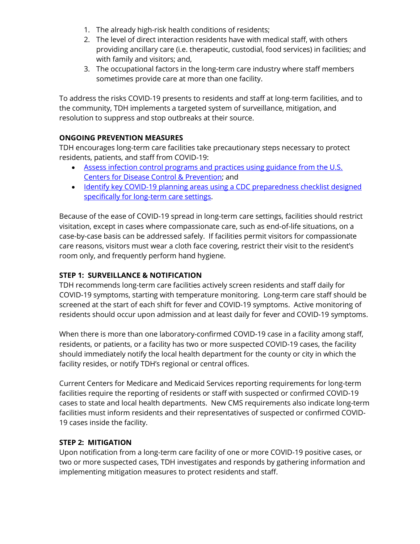- 1. The already high-risk health conditions of residents;
- 2. The level of direct interaction residents have with medical staff, with others providing ancillary care (i.e. therapeutic, custodial, food services) in facilities; and with family and visitors; and,
- 3. The occupational factors in the long-term care industry where staff members sometimes provide care at more than one facility.

To address the risks COVID-19 presents to residents and staff at long-term facilities, and to the community, TDH implements a targeted system of surveillance, mitigation, and resolution to suppress and stop outbreaks at their source.

# **ONGOING PREVENTION MEASURES**

TDH encourages long-term care facilities take precautionary steps necessary to protect residents, patients, and staff from COVID-19:

- [Assess infection control programs and practices using guidance from the U.S.](https://www.cdc.gov/infectioncontrol/pdf/icar/ltcf.pdf)  [Centers for Disease Control & Prevention;](https://www.cdc.gov/infectioncontrol/pdf/icar/ltcf.pdf) and
- [Identify key COVID-19 planning areas using a CDC preparedness checklist designed](https://www.cdc.gov/coronavirus/2019-ncov/downloads/novel-coronavirus-2019-Nursing-Homes-Preparedness-Checklist_3_13.pdf)  [specifically for long-term care settings.](https://www.cdc.gov/coronavirus/2019-ncov/downloads/novel-coronavirus-2019-Nursing-Homes-Preparedness-Checklist_3_13.pdf)

Because of the ease of COVID-19 spread in long-term care settings, facilities should restrict visitation, except in cases where compassionate care, such as end-of-life situations, on a case-by-case basis can be addressed safely. If facilities permit visitors for compassionate care reasons, visitors must wear a cloth face covering, restrict their visit to the resident's room only, and frequently perform hand hygiene.

# **STEP 1: SURVEILLANCE & NOTIFICATION**

TDH recommends long-term care facilities actively screen residents and staff daily for COVID-19 symptoms, starting with temperature monitoring. Long-term care staff should be screened at the start of each shift for fever and COVID-19 symptoms. Active monitoring of residents should occur upon admission and at least daily for fever and COVID-19 symptoms.

When there is more than one laboratory-confirmed COVID-19 case in a facility among staff, residents, or patients, or a facility has two or more suspected COVID-19 cases, the facility should immediately notify the local health department for the county or city in which the facility resides, or notify TDH's regional or central offices.

Current Centers for Medicare and Medicaid Services reporting requirements for long-term facilities require the reporting of residents or staff with suspected or confirmed COVID-19 cases to state and local health departments. New CMS requirements also indicate long-term facilities must inform residents and their representatives of suspected or confirmed COVID-19 cases inside the facility.

## **STEP 2: MITIGATION**

Upon notification from a long-term care facility of one or more COVID-19 positive cases, or two or more suspected cases, TDH investigates and responds by gathering information and implementing mitigation measures to protect residents and staff.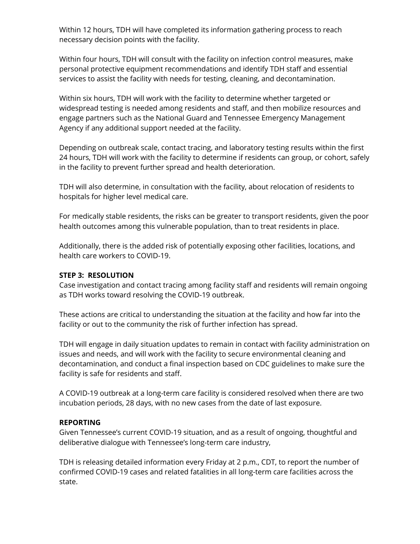Within 12 hours, TDH will have completed its information gathering process to reach necessary decision points with the facility.

Within four hours, TDH will consult with the facility on infection control measures, make personal protective equipment recommendations and identify TDH staff and essential services to assist the facility with needs for testing, cleaning, and decontamination.

Within six hours, TDH will work with the facility to determine whether targeted or widespread testing is needed among residents and staff, and then mobilize resources and engage partners such as the National Guard and Tennessee Emergency Management Agency if any additional support needed at the facility.

Depending on outbreak scale, contact tracing, and laboratory testing results within the first 24 hours, TDH will work with the facility to determine if residents can group, or cohort, safely in the facility to prevent further spread and health deterioration.

TDH will also determine, in consultation with the facility, about relocation of residents to hospitals for higher level medical care.

For medically stable residents, the risks can be greater to transport residents, given the poor health outcomes among this vulnerable population, than to treat residents in place.

Additionally, there is the added risk of potentially exposing other facilities, locations, and health care workers to COVID-19.

### **STEP 3: RESOLUTION**

Case investigation and contact tracing among facility staff and residents will remain ongoing as TDH works toward resolving the COVID-19 outbreak.

These actions are critical to understanding the situation at the facility and how far into the facility or out to the community the risk of further infection has spread.

TDH will engage in daily situation updates to remain in contact with facility administration on issues and needs, and will work with the facility to secure environmental cleaning and decontamination, and conduct a final inspection based on CDC guidelines to make sure the facility is safe for residents and staff.

A COVID-19 outbreak at a long-term care facility is considered resolved when there are two incubation periods, 28 days, with no new cases from the date of last exposure.

#### **REPORTING**

Given Tennessee's current COVID-19 situation, and as a result of ongoing, thoughtful and deliberative dialogue with Tennessee's long-term care industry,

TDH is releasing detailed information every Friday at 2 p.m., CDT, to report the number of confirmed COVID-19 cases and related fatalities in all long-term care facilities across the state.